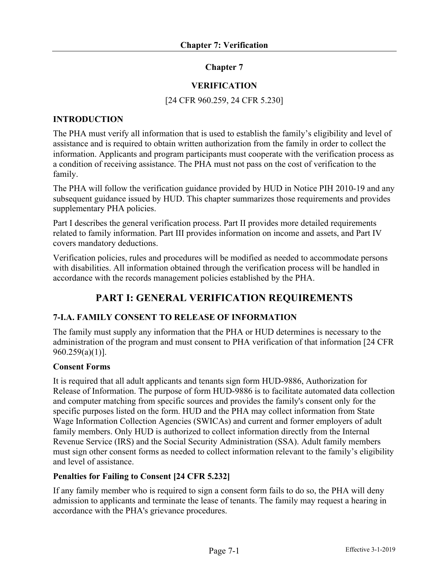# **Chapter 7**

# **VERIFICATION**

## [24 CFR 960.259, 24 CFR 5.230]

## **INTRODUCTION**

The PHA must verify all information that is used to establish the family's eligibility and level of assistance and is required to obtain written authorization from the family in order to collect the information. Applicants and program participants must cooperate with the verification process as a condition of receiving assistance. The PHA must not pass on the cost of verification to the family.

The PHA will follow the verification guidance provided by HUD in Notice PIH 2010-19 and any subsequent guidance issued by HUD. This chapter summarizes those requirements and provides supplementary PHA policies.

Part I describes the general verification process. Part II provides more detailed requirements related to family information. Part III provides information on income and assets, and Part IV covers mandatory deductions.

Verification policies, rules and procedures will be modified as needed to accommodate persons with disabilities. All information obtained through the verification process will be handled in accordance with the records management policies established by the PHA.

# **PART I: GENERAL VERIFICATION REQUIREMENTS**

# **7-I.A. FAMILY CONSENT TO RELEASE OF INFORMATION**

The family must supply any information that the PHA or HUD determines is necessary to the administration of the program and must consent to PHA verification of that information [24 CFR 960.259(a)(1)].

### **Consent Forms**

It is required that all adult applicants and tenants sign form HUD-9886, Authorization for Release of Information. The purpose of form HUD-9886 is to facilitate automated data collection and computer matching from specific sources and provides the family's consent only for the specific purposes listed on the form. HUD and the PHA may collect information from State Wage Information Collection Agencies (SWICAs) and current and former employers of adult family members. Only HUD is authorized to collect information directly from the Internal Revenue Service (IRS) and the Social Security Administration (SSA). Adult family members must sign other consent forms as needed to collect information relevant to the family's eligibility and level of assistance.

# **Penalties for Failing to Consent [24 CFR 5.232]**

If any family member who is required to sign a consent form fails to do so, the PHA will deny admission to applicants and terminate the lease of tenants. The family may request a hearing in accordance with the PHA's grievance procedures.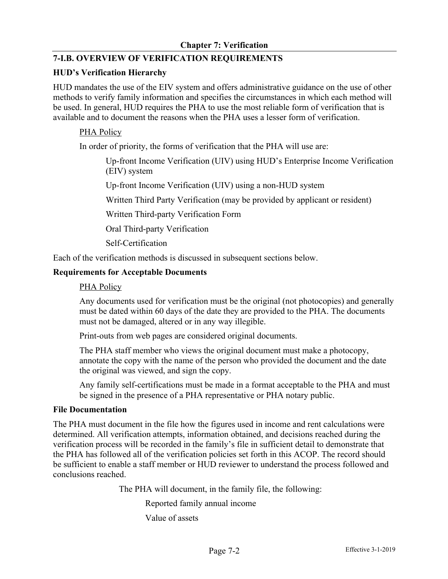# **7-I.B. OVERVIEW OF VERIFICATION REQUIREMENTS**

## **HUD's Verification Hierarchy**

HUD mandates the use of the EIV system and offers administrative guidance on the use of other methods to verify family information and specifies the circumstances in which each method will be used. In general, HUD requires the PHA to use the most reliable form of verification that is available and to document the reasons when the PHA uses a lesser form of verification.

## PHA Policy

In order of priority, the forms of verification that the PHA will use are:

Up-front Income Verification (UIV) using HUD's Enterprise Income Verification (EIV) system

Up-front Income Verification (UIV) using a non-HUD system

Written Third Party Verification (may be provided by applicant or resident)

Written Third-party Verification Form

Oral Third-party Verification

Self-Certification

Each of the verification methods is discussed in subsequent sections below.

### **Requirements for Acceptable Documents**

## PHA Policy

Any documents used for verification must be the original (not photocopies) and generally must be dated within 60 days of the date they are provided to the PHA. The documents must not be damaged, altered or in any way illegible.

Print-outs from web pages are considered original documents.

The PHA staff member who views the original document must make a photocopy, annotate the copy with the name of the person who provided the document and the date the original was viewed, and sign the copy.

Any family self-certifications must be made in a format acceptable to the PHA and must be signed in the presence of a PHA representative or PHA notary public.

### **File Documentation**

The PHA must document in the file how the figures used in income and rent calculations were determined. All verification attempts, information obtained, and decisions reached during the verification process will be recorded in the family's file in sufficient detail to demonstrate that the PHA has followed all of the verification policies set forth in this ACOP. The record should be sufficient to enable a staff member or HUD reviewer to understand the process followed and conclusions reached.

The PHA will document, in the family file, the following:

Reported family annual income

Value of assets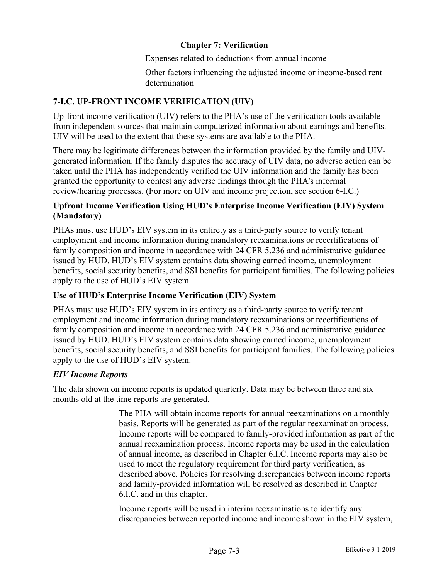Expenses related to deductions from annual income

Other factors influencing the adjusted income or income-based rent determination

# **7-I.C. UP-FRONT INCOME VERIFICATION (UIV)**

Up-front income verification (UIV) refers to the PHA's use of the verification tools available from independent sources that maintain computerized information about earnings and benefits. UIV will be used to the extent that these systems are available to the PHA.

There may be legitimate differences between the information provided by the family and UIVgenerated information. If the family disputes the accuracy of UIV data, no adverse action can be taken until the PHA has independently verified the UIV information and the family has been granted the opportunity to contest any adverse findings through the PHA's informal review/hearing processes. (For more on UIV and income projection, see section 6-I.C.)

# **Upfront Income Verification Using HUD's Enterprise Income Verification (EIV) System (Mandatory)**

PHAs must use HUD's EIV system in its entirety as a third-party source to verify tenant employment and income information during mandatory reexaminations or recertifications of family composition and income in accordance with 24 CFR 5.236 and administrative guidance issued by HUD. HUD's EIV system contains data showing earned income, unemployment benefits, social security benefits, and SSI benefits for participant families. The following policies apply to the use of HUD's EIV system.

# **Use of HUD's Enterprise Income Verification (EIV) System**

PHAs must use HUD's EIV system in its entirety as a third-party source to verify tenant employment and income information during mandatory reexaminations or recertifications of family composition and income in accordance with 24 CFR 5.236 and administrative guidance issued by HUD. HUD's EIV system contains data showing earned income, unemployment benefits, social security benefits, and SSI benefits for participant families. The following policies apply to the use of HUD's EIV system.

# *EIV Income Reports*

The data shown on income reports is updated quarterly. Data may be between three and six months old at the time reports are generated.

> The PHA will obtain income reports for annual reexaminations on a monthly basis. Reports will be generated as part of the regular reexamination process. Income reports will be compared to family-provided information as part of the annual reexamination process. Income reports may be used in the calculation of annual income, as described in Chapter 6.I.C. Income reports may also be used to meet the regulatory requirement for third party verification, as described above. Policies for resolving discrepancies between income reports and family-provided information will be resolved as described in Chapter 6.I.C. and in this chapter.

> Income reports will be used in interim reexaminations to identify any discrepancies between reported income and income shown in the EIV system,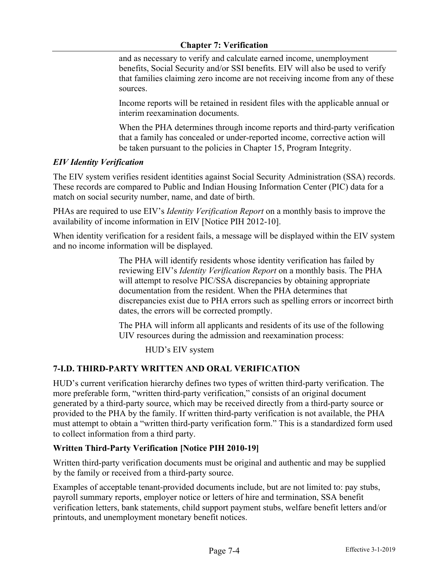and as necessary to verify and calculate earned income, unemployment benefits, Social Security and/or SSI benefits. EIV will also be used to verify that families claiming zero income are not receiving income from any of these sources.

Income reports will be retained in resident files with the applicable annual or interim reexamination documents.

When the PHA determines through income reports and third-party verification that a family has concealed or under-reported income, corrective action will be taken pursuant to the policies in Chapter 15, Program Integrity.

## *EIV Identity Verification*

The EIV system verifies resident identities against Social Security Administration (SSA) records. These records are compared to Public and Indian Housing Information Center (PIC) data for a match on social security number, name, and date of birth.

PHAs are required to use EIV's *Identity Verification Report* on a monthly basis to improve the availability of income information in EIV [Notice PIH 2012-10].

When identity verification for a resident fails, a message will be displayed within the EIV system and no income information will be displayed.

> The PHA will identify residents whose identity verification has failed by reviewing EIV's *Identity Verification Report* on a monthly basis. The PHA will attempt to resolve PIC/SSA discrepancies by obtaining appropriate documentation from the resident. When the PHA determines that discrepancies exist due to PHA errors such as spelling errors or incorrect birth dates, the errors will be corrected promptly.

The PHA will inform all applicants and residents of its use of the following UIV resources during the admission and reexamination process:

HUD's EIV system

# **7-I.D. THIRD-PARTY WRITTEN AND ORAL VERIFICATION**

HUD's current verification hierarchy defines two types of written third-party verification. The more preferable form, "written third-party verification," consists of an original document generated by a third-party source, which may be received directly from a third-party source or provided to the PHA by the family. If written third-party verification is not available, the PHA must attempt to obtain a "written third-party verification form." This is a standardized form used to collect information from a third party.

# **Written Third-Party Verification [Notice PIH 2010-19]**

Written third-party verification documents must be original and authentic and may be supplied by the family or received from a third-party source.

Examples of acceptable tenant-provided documents include, but are not limited to: pay stubs, payroll summary reports, employer notice or letters of hire and termination, SSA benefit verification letters, bank statements, child support payment stubs, welfare benefit letters and/or printouts, and unemployment monetary benefit notices.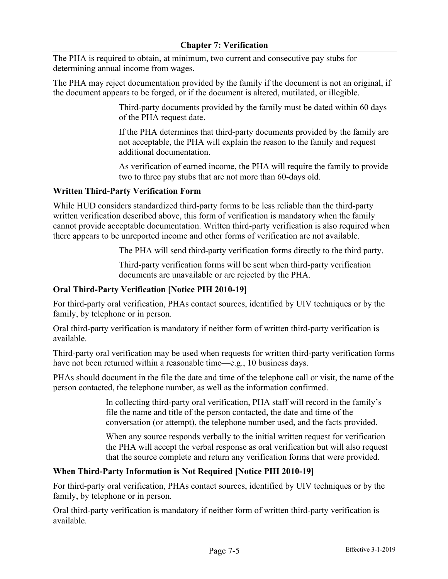The PHA is required to obtain, at minimum, two current and consecutive pay stubs for determining annual income from wages.

The PHA may reject documentation provided by the family if the document is not an original, if the document appears to be forged, or if the document is altered, mutilated, or illegible.

> Third-party documents provided by the family must be dated within 60 days of the PHA request date.

> If the PHA determines that third-party documents provided by the family are not acceptable, the PHA will explain the reason to the family and request additional documentation.

> As verification of earned income, the PHA will require the family to provide two to three pay stubs that are not more than 60-days old.

## **Written Third-Party Verification Form**

While HUD considers standardized third-party forms to be less reliable than the third-party written verification described above, this form of verification is mandatory when the family cannot provide acceptable documentation. Written third-party verification is also required when there appears to be unreported income and other forms of verification are not available.

The PHA will send third-party verification forms directly to the third party.

Third-party verification forms will be sent when third-party verification documents are unavailable or are rejected by the PHA.

# **Oral Third-Party Verification [Notice PIH 2010-19]**

For third-party oral verification, PHAs contact sources, identified by UIV techniques or by the family, by telephone or in person.

Oral third-party verification is mandatory if neither form of written third-party verification is available.

Third-party oral verification may be used when requests for written third-party verification forms have not been returned within a reasonable time—e.g., 10 business days.

PHAs should document in the file the date and time of the telephone call or visit, the name of the person contacted, the telephone number, as well as the information confirmed.

> In collecting third-party oral verification, PHA staff will record in the family's file the name and title of the person contacted, the date and time of the conversation (or attempt), the telephone number used, and the facts provided.

When any source responds verbally to the initial written request for verification the PHA will accept the verbal response as oral verification but will also request that the source complete and return any verification forms that were provided.

# **When Third-Party Information is Not Required [Notice PIH 2010-19]**

For third-party oral verification, PHAs contact sources, identified by UIV techniques or by the family, by telephone or in person.

Oral third-party verification is mandatory if neither form of written third-party verification is available.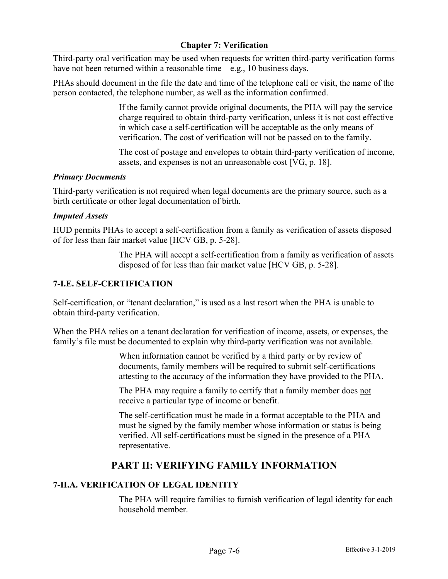Third-party oral verification may be used when requests for written third-party verification forms have not been returned within a reasonable time—e.g., 10 business days.

PHAs should document in the file the date and time of the telephone call or visit, the name of the person contacted, the telephone number, as well as the information confirmed.

> If the family cannot provide original documents, the PHA will pay the service charge required to obtain third-party verification, unless it is not cost effective in which case a self-certification will be acceptable as the only means of verification. The cost of verification will not be passed on to the family.

> The cost of postage and envelopes to obtain third-party verification of income, assets, and expenses is not an unreasonable cost [VG, p. 18].

# *Primary Documents*

Third-party verification is not required when legal documents are the primary source, such as a birth certificate or other legal documentation of birth.

## *Imputed Assets*

HUD permits PHAs to accept a self-certification from a family as verification of assets disposed of for less than fair market value [HCV GB, p. 5-28].

> The PHA will accept a self-certification from a family as verification of assets disposed of for less than fair market value [HCV GB, p. 5-28].

# **7-I.E. SELF-CERTIFICATION**

Self-certification, or "tenant declaration," is used as a last resort when the PHA is unable to obtain third-party verification.

When the PHA relies on a tenant declaration for verification of income, assets, or expenses, the family's file must be documented to explain why third-party verification was not available.

> When information cannot be verified by a third party or by review of documents, family members will be required to submit self-certifications attesting to the accuracy of the information they have provided to the PHA.

The PHA may require a family to certify that a family member does not receive a particular type of income or benefit.

The self-certification must be made in a format acceptable to the PHA and must be signed by the family member whose information or status is being verified. All self-certifications must be signed in the presence of a PHA representative.

# **PART II: VERIFYING FAMILY INFORMATION**

# **7-II.A. VERIFICATION OF LEGAL IDENTITY**

The PHA will require families to furnish verification of legal identity for each household member.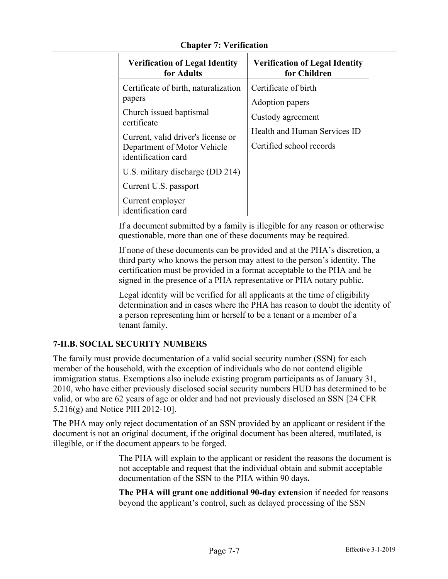| <b>Verification of Legal Identity</b>                                                                                                                                                                                                                                                        | <b>Verification of Legal Identity</b>                                                                                    |
|----------------------------------------------------------------------------------------------------------------------------------------------------------------------------------------------------------------------------------------------------------------------------------------------|--------------------------------------------------------------------------------------------------------------------------|
| for Adults                                                                                                                                                                                                                                                                                   | for Children                                                                                                             |
| Certificate of birth, naturalization<br>papers<br>Church issued baptismal<br>certificate<br>Current, valid driver's license or<br>Department of Motor Vehicle<br>identification card<br>U.S. military discharge (DD 214)<br>Current U.S. passport<br>Current employer<br>identification card | Certificate of birth<br>Adoption papers<br>Custody agreement<br>Health and Human Services ID<br>Certified school records |

If a document submitted by a family is illegible for any reason or otherwise questionable, more than one of these documents may be required.

If none of these documents can be provided and at the PHA's discretion, a third party who knows the person may attest to the person's identity. The certification must be provided in a format acceptable to the PHA and be signed in the presence of a PHA representative or PHA notary public.

Legal identity will be verified for all applicants at the time of eligibility determination and in cases where the PHA has reason to doubt the identity of a person representing him or herself to be a tenant or a member of a tenant family.

# **7-II.B. SOCIAL SECURITY NUMBERS**

The family must provide documentation of a valid social security number (SSN) for each member of the household, with the exception of individuals who do not contend eligible immigration status. Exemptions also include existing program participants as of January 31, 2010, who have either previously disclosed social security numbers HUD has determined to be valid, or who are 62 years of age or older and had not previously disclosed an SSN [24 CFR 5.216(g) and Notice PIH 2012-10].

The PHA may only reject documentation of an SSN provided by an applicant or resident if the document is not an original document, if the original document has been altered, mutilated, is illegible, or if the document appears to be forged.

> The PHA will explain to the applicant or resident the reasons the document is not acceptable and request that the individual obtain and submit acceptable documentation of the SSN to the PHA within 90 days**.**

**The PHA will grant one additional 90-day exten**sion if needed for reasons beyond the applicant's control, such as delayed processing of the SSN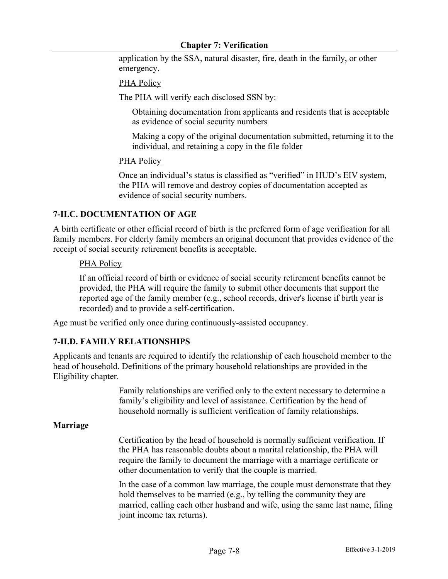application by the SSA, natural disaster, fire, death in the family, or other emergency.

PHA Policy

The PHA will verify each disclosed SSN by:

Obtaining documentation from applicants and residents that is acceptable as evidence of social security numbers

Making a copy of the original documentation submitted, returning it to the individual, and retaining a copy in the file folder

#### PHA Policy

Once an individual's status is classified as "verified" in HUD's EIV system, the PHA will remove and destroy copies of documentation accepted as evidence of social security numbers.

### **7-II.C. DOCUMENTATION OF AGE**

A birth certificate or other official record of birth is the preferred form of age verification for all family members. For elderly family members an original document that provides evidence of the receipt of social security retirement benefits is acceptable.

#### PHA Policy

If an official record of birth or evidence of social security retirement benefits cannot be provided, the PHA will require the family to submit other documents that support the reported age of the family member (e.g., school records, driver's license if birth year is recorded) and to provide a self-certification.

Age must be verified only once during continuously-assisted occupancy.

### **7-II.D. FAMILY RELATIONSHIPS**

Applicants and tenants are required to identify the relationship of each household member to the head of household. Definitions of the primary household relationships are provided in the Eligibility chapter.

> Family relationships are verified only to the extent necessary to determine a family's eligibility and level of assistance. Certification by the head of household normally is sufficient verification of family relationships.

#### **Marriage**

Certification by the head of household is normally sufficient verification. If the PHA has reasonable doubts about a marital relationship, the PHA will require the family to document the marriage with a marriage certificate or other documentation to verify that the couple is married.

In the case of a common law marriage, the couple must demonstrate that they hold themselves to be married (e.g., by telling the community they are married, calling each other husband and wife, using the same last name, filing joint income tax returns).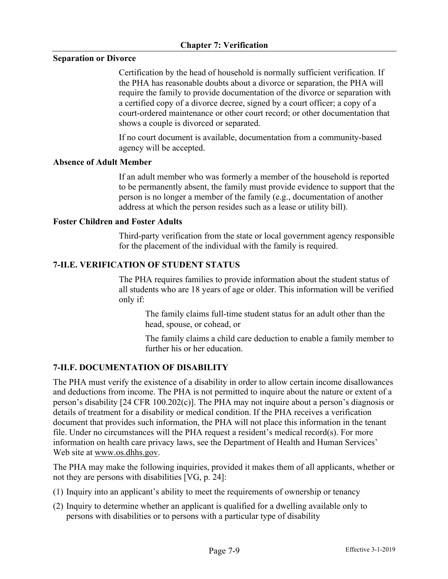## **Separation or Divorce**

Certification by the head of household is normally sufficient verification. If the PHA has reasonable doubts about a divorce or separation, the PHA will require the family to provide documentation of the divorce or separation with a certified copy of a divorce decree, signed by a court officer; a copy of a court-ordered maintenance or other court record; or other documentation that shows a couple is divorced or separated.

If no court document is available, documentation from a community-based agency will be accepted.

### **Absence of Adult Member**

If an adult member who was formerly a member of the household is reported to be permanently absent, the family must provide evidence to support that the person is no longer a member of the family (e.g., documentation of another address at which the person resides such as a lease or utility bill).

## **Foster Children and Foster Adults**

Third-party verification from the state or local government agency responsible for the placement of the individual with the family is required.

## **7-II.E. VERIFICATION OF STUDENT STATUS**

The PHA requires families to provide information about the student status of all students who are 18 years of age or older. This information will be verified only if:

The family claims full-time student status for an adult other than the head, spouse, or cohead, or

The family claims a child care deduction to enable a family member to further his or her education.

# **7-II.F. DOCUMENTATION OF DISABILITY**

The PHA must verify the existence of a disability in order to allow certain income disallowances and deductions from income. The PHA is not permitted to inquire about the nature or extent of a person's disability [24 CFR 100.202(c)]. The PHA may not inquire about a person's diagnosis or details of treatment for a disability or medical condition. If the PHA receives a verification document that provides such information, the PHA will not place this information in the tenant file. Under no circumstances will the PHA request a resident's medical record(s). For more information on health care privacy laws, see the Department of Health and Human Services' Web site at www.os.dhhs.gov.

The PHA may make the following inquiries, provided it makes them of all applicants, whether or not they are persons with disabilities [VG, p. 24]:

- (1) Inquiry into an applicant's ability to meet the requirements of ownership or tenancy
- (2) Inquiry to determine whether an applicant is qualified for a dwelling available only to persons with disabilities or to persons with a particular type of disability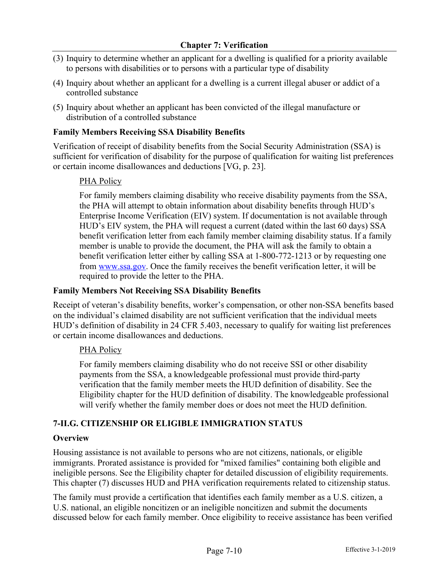- (3) Inquiry to determine whether an applicant for a dwelling is qualified for a priority available to persons with disabilities or to persons with a particular type of disability
- (4) Inquiry about whether an applicant for a dwelling is a current illegal abuser or addict of a controlled substance
- (5) Inquiry about whether an applicant has been convicted of the illegal manufacture or distribution of a controlled substance

# **Family Members Receiving SSA Disability Benefits**

Verification of receipt of disability benefits from the Social Security Administration (SSA) is sufficient for verification of disability for the purpose of qualification for waiting list preferences or certain income disallowances and deductions [VG, p. 23].

# PHA Policy

For family members claiming disability who receive disability payments from the SSA, the PHA will attempt to obtain information about disability benefits through HUD's Enterprise Income Verification (EIV) system. If documentation is not available through HUD's EIV system, the PHA will request a current (dated within the last 60 days) SSA benefit verification letter from each family member claiming disability status. If a family member is unable to provide the document, the PHA will ask the family to obtain a benefit verification letter either by calling SSA at 1-800-772-1213 or by requesting one from www.ssa.gov. Once the family receives the benefit verification letter, it will be required to provide the letter to the PHA.

# **Family Members Not Receiving SSA Disability Benefits**

Receipt of veteran's disability benefits, worker's compensation, or other non-SSA benefits based on the individual's claimed disability are not sufficient verification that the individual meets HUD's definition of disability in 24 CFR 5.403, necessary to qualify for waiting list preferences or certain income disallowances and deductions.

# PHA Policy

For family members claiming disability who do not receive SSI or other disability payments from the SSA, a knowledgeable professional must provide third-party verification that the family member meets the HUD definition of disability. See the Eligibility chapter for the HUD definition of disability. The knowledgeable professional will verify whether the family member does or does not meet the HUD definition.

# **7-II.G. CITIZENSHIP OR ELIGIBLE IMMIGRATION STATUS**

# **Overview**

Housing assistance is not available to persons who are not citizens, nationals, or eligible immigrants. Prorated assistance is provided for "mixed families" containing both eligible and ineligible persons. See the Eligibility chapter for detailed discussion of eligibility requirements. This chapter (7) discusses HUD and PHA verification requirements related to citizenship status.

The family must provide a certification that identifies each family member as a U.S. citizen, a U.S. national, an eligible noncitizen or an ineligible noncitizen and submit the documents discussed below for each family member. Once eligibility to receive assistance has been verified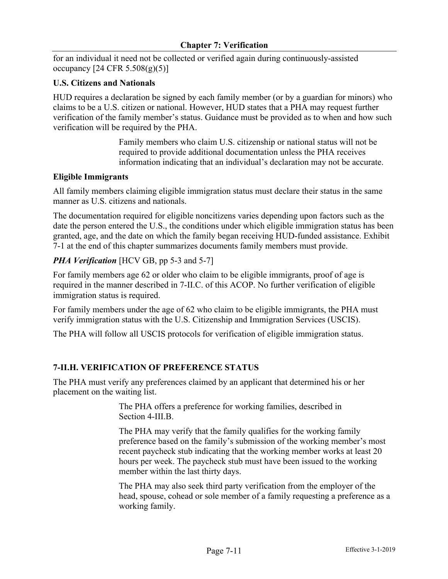for an individual it need not be collected or verified again during continuously-assisted occupancy  $[24 \text{ CFR } 5.508(g)(5)]$ 

# **U.S. Citizens and Nationals**

HUD requires a declaration be signed by each family member (or by a guardian for minors) who claims to be a U.S. citizen or national. However, HUD states that a PHA may request further verification of the family member's status. Guidance must be provided as to when and how such verification will be required by the PHA.

> Family members who claim U.S. citizenship or national status will not be required to provide additional documentation unless the PHA receives information indicating that an individual's declaration may not be accurate.

# **Eligible Immigrants**

All family members claiming eligible immigration status must declare their status in the same manner as U.S. citizens and nationals.

The documentation required for eligible noncitizens varies depending upon factors such as the date the person entered the U.S., the conditions under which eligible immigration status has been granted, age, and the date on which the family began receiving HUD-funded assistance. Exhibit 7-1 at the end of this chapter summarizes documents family members must provide.

# *PHA Verification* [HCV GB, pp 5-3 and 5-7]

For family members age 62 or older who claim to be eligible immigrants, proof of age is required in the manner described in 7-II.C. of this ACOP. No further verification of eligible immigration status is required.

For family members under the age of 62 who claim to be eligible immigrants, the PHA must verify immigration status with the U.S. Citizenship and Immigration Services (USCIS).

The PHA will follow all USCIS protocols for verification of eligible immigration status.

# **7-II.H. VERIFICATION OF PREFERENCE STATUS**

The PHA must verify any preferences claimed by an applicant that determined his or her placement on the waiting list.

> The PHA offers a preference for working families, described in Section 4-III.B.

The PHA may verify that the family qualifies for the working family preference based on the family's submission of the working member's most recent paycheck stub indicating that the working member works at least 20 hours per week. The paycheck stub must have been issued to the working member within the last thirty days.

The PHA may also seek third party verification from the employer of the head, spouse, cohead or sole member of a family requesting a preference as a working family.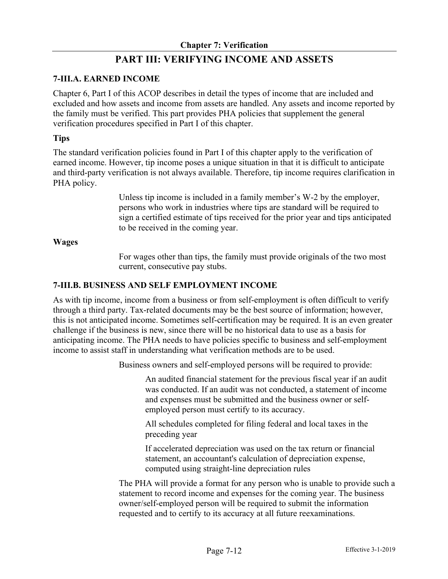# **PART III: VERIFYING INCOME AND ASSETS**

# **7-III.A. EARNED INCOME**

Chapter 6, Part I of this ACOP describes in detail the types of income that are included and excluded and how assets and income from assets are handled. Any assets and income reported by the family must be verified. This part provides PHA policies that supplement the general verification procedures specified in Part I of this chapter.

## **Tips**

The standard verification policies found in Part I of this chapter apply to the verification of earned income. However, tip income poses a unique situation in that it is difficult to anticipate and third-party verification is not always available. Therefore, tip income requires clarification in PHA policy.

> Unless tip income is included in a family member's W-2 by the employer, persons who work in industries where tips are standard will be required to sign a certified estimate of tips received for the prior year and tips anticipated to be received in the coming year.

### **Wages**

For wages other than tips, the family must provide originals of the two most current, consecutive pay stubs.

## **7-III.B. BUSINESS AND SELF EMPLOYMENT INCOME**

As with tip income, income from a business or from self-employment is often difficult to verify through a third party. Tax-related documents may be the best source of information; however, this is not anticipated income. Sometimes self-certification may be required. It is an even greater challenge if the business is new, since there will be no historical data to use as a basis for anticipating income. The PHA needs to have policies specific to business and self-employment income to assist staff in understanding what verification methods are to be used.

Business owners and self-employed persons will be required to provide:

An audited financial statement for the previous fiscal year if an audit was conducted. If an audit was not conducted, a statement of income and expenses must be submitted and the business owner or selfemployed person must certify to its accuracy.

All schedules completed for filing federal and local taxes in the preceding year

If accelerated depreciation was used on the tax return or financial statement, an accountant's calculation of depreciation expense, computed using straight-line depreciation rules

The PHA will provide a format for any person who is unable to provide such a statement to record income and expenses for the coming year. The business owner/self-employed person will be required to submit the information requested and to certify to its accuracy at all future reexaminations.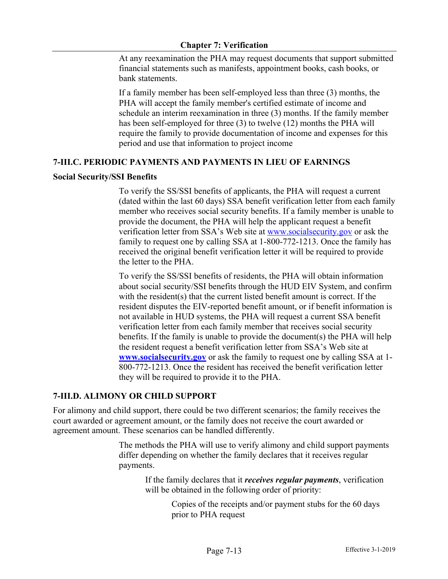At any reexamination the PHA may request documents that support submitted financial statements such as manifests, appointment books, cash books, or bank statements.

If a family member has been self-employed less than three (3) months, the PHA will accept the family member's certified estimate of income and schedule an interim reexamination in three (3) months. If the family member has been self-employed for three (3) to twelve (12) months the PHA will require the family to provide documentation of income and expenses for this period and use that information to project income

# **7-III.C. PERIODIC PAYMENTS AND PAYMENTS IN LIEU OF EARNINGS**

## **Social Security/SSI Benefits**

To verify the SS/SSI benefits of applicants, the PHA will request a current (dated within the last 60 days) SSA benefit verification letter from each family member who receives social security benefits. If a family member is unable to provide the document, the PHA will help the applicant request a benefit verification letter from SSA's Web site at www.socialsecurity.gov or ask the family to request one by calling SSA at 1-800-772-1213. Once the family has received the original benefit verification letter it will be required to provide the letter to the PHA.

To verify the SS/SSI benefits of residents, the PHA will obtain information about social security/SSI benefits through the HUD EIV System, and confirm with the resident(s) that the current listed benefit amount is correct. If the resident disputes the EIV-reported benefit amount, or if benefit information is not available in HUD systems, the PHA will request a current SSA benefit verification letter from each family member that receives social security benefits. If the family is unable to provide the document(s) the PHA will help the resident request a benefit verification letter from SSA's Web site at **www.socialsecurity.gov** or ask the family to request one by calling SSA at 1- 800-772-1213. Once the resident has received the benefit verification letter they will be required to provide it to the PHA.

# **7-III.D. ALIMONY OR CHILD SUPPORT**

For alimony and child support, there could be two different scenarios; the family receives the court awarded or agreement amount, or the family does not receive the court awarded or agreement amount. These scenarios can be handled differently.

> The methods the PHA will use to verify alimony and child support payments differ depending on whether the family declares that it receives regular payments.

If the family declares that it *receives regular payments*, verification will be obtained in the following order of priority:

> Copies of the receipts and/or payment stubs for the 60 days prior to PHA request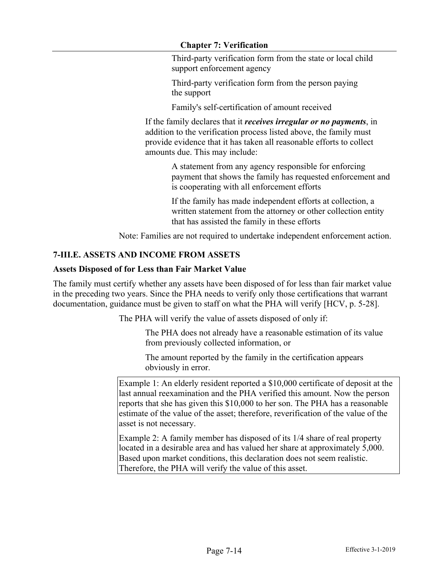Third-party verification form from the state or local child support enforcement agency

Third-party verification form from the person paying the support

Family's self-certification of amount received

If the family declares that it *receives irregular or no payments*, in addition to the verification process listed above, the family must provide evidence that it has taken all reasonable efforts to collect amounts due. This may include:

> A statement from any agency responsible for enforcing payment that shows the family has requested enforcement and is cooperating with all enforcement efforts

If the family has made independent efforts at collection, a written statement from the attorney or other collection entity that has assisted the family in these efforts

Note: Families are not required to undertake independent enforcement action.

# **7-III.E. ASSETS AND INCOME FROM ASSETS**

## **Assets Disposed of for Less than Fair Market Value**

The family must certify whether any assets have been disposed of for less than fair market value in the preceding two years. Since the PHA needs to verify only those certifications that warrant documentation, guidance must be given to staff on what the PHA will verify [HCV, p. 5-28].

The PHA will verify the value of assets disposed of only if:

The PHA does not already have a reasonable estimation of its value from previously collected information, or

The amount reported by the family in the certification appears obviously in error.

Example 1: An elderly resident reported a \$10,000 certificate of deposit at the last annual reexamination and the PHA verified this amount. Now the person reports that she has given this \$10,000 to her son. The PHA has a reasonable estimate of the value of the asset; therefore, reverification of the value of the asset is not necessary.

Example 2: A family member has disposed of its 1/4 share of real property located in a desirable area and has valued her share at approximately 5,000. Based upon market conditions, this declaration does not seem realistic. Therefore, the PHA will verify the value of this asset.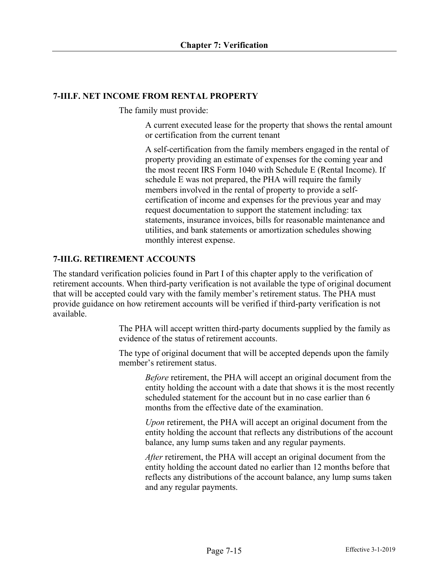## **7-III.F. NET INCOME FROM RENTAL PROPERTY**

The family must provide:

A current executed lease for the property that shows the rental amount or certification from the current tenant

A self-certification from the family members engaged in the rental of property providing an estimate of expenses for the coming year and the most recent IRS Form 1040 with Schedule E (Rental Income). If schedule E was not prepared, the PHA will require the family members involved in the rental of property to provide a selfcertification of income and expenses for the previous year and may request documentation to support the statement including: tax statements, insurance invoices, bills for reasonable maintenance and utilities, and bank statements or amortization schedules showing monthly interest expense.

# **7-III.G. RETIREMENT ACCOUNTS**

The standard verification policies found in Part I of this chapter apply to the verification of retirement accounts. When third-party verification is not available the type of original document that will be accepted could vary with the family member's retirement status. The PHA must provide guidance on how retirement accounts will be verified if third-party verification is not available.

> The PHA will accept written third-party documents supplied by the family as evidence of the status of retirement accounts.

> The type of original document that will be accepted depends upon the family member's retirement status.

*Before* retirement, the PHA will accept an original document from the entity holding the account with a date that shows it is the most recently scheduled statement for the account but in no case earlier than 6 months from the effective date of the examination.

*Upon* retirement, the PHA will accept an original document from the entity holding the account that reflects any distributions of the account balance, any lump sums taken and any regular payments.

*After* retirement, the PHA will accept an original document from the entity holding the account dated no earlier than 12 months before that reflects any distributions of the account balance, any lump sums taken and any regular payments.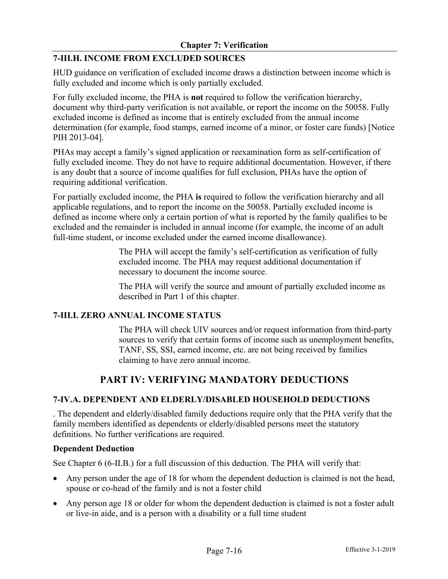# **7-III.H. INCOME FROM EXCLUDED SOURCES**

HUD guidance on verification of excluded income draws a distinction between income which is fully excluded and income which is only partially excluded.

For fully excluded income, the PHA is **not** required to follow the verification hierarchy, document why third-party verification is not available, or report the income on the 50058. Fully excluded income is defined as income that is entirely excluded from the annual income determination (for example, food stamps, earned income of a minor, or foster care funds) [Notice PIH 2013-04].

PHAs may accept a family's signed application or reexamination form as self-certification of fully excluded income. They do not have to require additional documentation. However, if there is any doubt that a source of income qualifies for full exclusion, PHAs have the option of requiring additional verification.

For partially excluded income, the PHA **is** required to follow the verification hierarchy and all applicable regulations, and to report the income on the 50058. Partially excluded income is defined as income where only a certain portion of what is reported by the family qualifies to be excluded and the remainder is included in annual income (for example, the income of an adult full-time student, or income excluded under the earned income disallowance).

> The PHA will accept the family's self-certification as verification of fully excluded income. The PHA may request additional documentation if necessary to document the income source.

The PHA will verify the source and amount of partially excluded income as described in Part 1 of this chapter.

### **7-III.I. ZERO ANNUAL INCOME STATUS**

The PHA will check UIV sources and/or request information from third-party sources to verify that certain forms of income such as unemployment benefits, TANF, SS, SSI, earned income, etc. are not being received by families claiming to have zero annual income.

# **PART IV: VERIFYING MANDATORY DEDUCTIONS**

### **7-IV.A. DEPENDENT AND ELDERLY/DISABLED HOUSEHOLD DEDUCTIONS**

. The dependent and elderly/disabled family deductions require only that the PHA verify that the family members identified as dependents or elderly/disabled persons meet the statutory definitions. No further verifications are required.

#### **Dependent Deduction**

See Chapter 6 (6-II.B.) for a full discussion of this deduction. The PHA will verify that:

- Any person under the age of 18 for whom the dependent deduction is claimed is not the head, spouse or co-head of the family and is not a foster child
- Any person age 18 or older for whom the dependent deduction is claimed is not a foster adult or live-in aide, and is a person with a disability or a full time student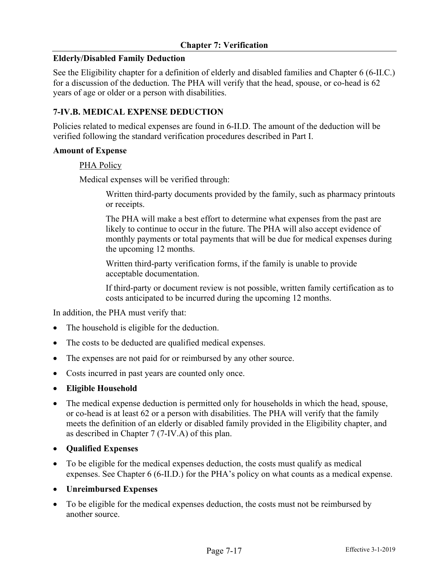## **Elderly/Disabled Family Deduction**

See the Eligibility chapter for a definition of elderly and disabled families and Chapter 6 (6-II.C.) for a discussion of the deduction. The PHA will verify that the head, spouse, or co-head is 62 years of age or older or a person with disabilities.

## **7-IV.B. MEDICAL EXPENSE DEDUCTION**

Policies related to medical expenses are found in 6-II.D. The amount of the deduction will be verified following the standard verification procedures described in Part I.

### **Amount of Expense**

### PHA Policy

Medical expenses will be verified through:

Written third-party documents provided by the family, such as pharmacy printouts or receipts.

The PHA will make a best effort to determine what expenses from the past are likely to continue to occur in the future. The PHA will also accept evidence of monthly payments or total payments that will be due for medical expenses during the upcoming 12 months.

Written third-party verification forms, if the family is unable to provide acceptable documentation.

If third-party or document review is not possible, written family certification as to costs anticipated to be incurred during the upcoming 12 months.

In addition, the PHA must verify that:

- The household is eligible for the deduction.
- The costs to be deducted are qualified medical expenses.
- The expenses are not paid for or reimbursed by any other source.
- Costs incurred in past years are counted only once.
- **Eligible Household**
- The medical expense deduction is permitted only for households in which the head, spouse, or co-head is at least 62 or a person with disabilities. The PHA will verify that the family meets the definition of an elderly or disabled family provided in the Eligibility chapter, and as described in Chapter 7 (7-IV.A) of this plan.
- **Qualified Expenses**
- To be eligible for the medical expenses deduction, the costs must qualify as medical expenses. See Chapter 6 (6-II.D.) for the PHA's policy on what counts as a medical expense.
- **Unreimbursed Expenses**
- To be eligible for the medical expenses deduction, the costs must not be reimbursed by another source.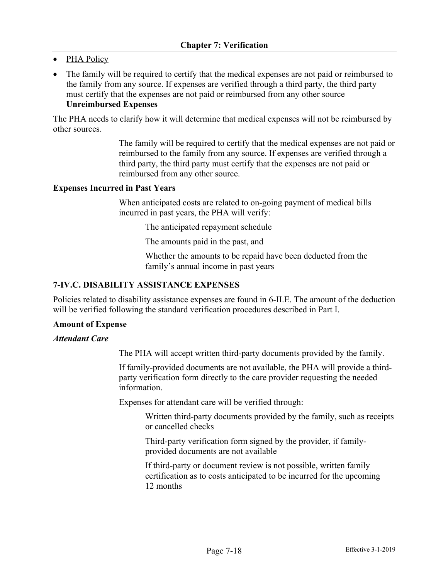- PHA Policy
- The family will be required to certify that the medical expenses are not paid or reimbursed to the family from any source. If expenses are verified through a third party, the third party must certify that the expenses are not paid or reimbursed from any other source **Unreimbursed Expenses**

The PHA needs to clarify how it will determine that medical expenses will not be reimbursed by other sources.

> The family will be required to certify that the medical expenses are not paid or reimbursed to the family from any source. If expenses are verified through a third party, the third party must certify that the expenses are not paid or reimbursed from any other source.

#### **Expenses Incurred in Past Years**

When anticipated costs are related to on-going payment of medical bills incurred in past years, the PHA will verify:

The anticipated repayment schedule

The amounts paid in the past, and

Whether the amounts to be repaid have been deducted from the family's annual income in past years

### **7-IV.C. DISABILITY ASSISTANCE EXPENSES**

Policies related to disability assistance expenses are found in 6-II.E. The amount of the deduction will be verified following the standard verification procedures described in Part I.

#### **Amount of Expense**

#### *Attendant Care*

The PHA will accept written third-party documents provided by the family.

If family-provided documents are not available, the PHA will provide a thirdparty verification form directly to the care provider requesting the needed information.

Expenses for attendant care will be verified through:

Written third-party documents provided by the family, such as receipts or cancelled checks

Third-party verification form signed by the provider, if familyprovided documents are not available

If third-party or document review is not possible, written family certification as to costs anticipated to be incurred for the upcoming 12 months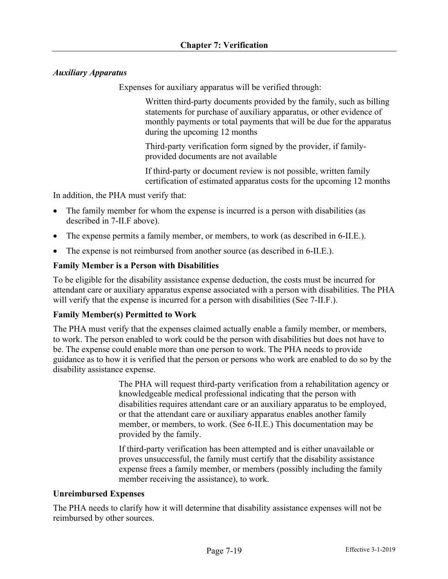# *Auxiliary Apparatus*

Expenses for auxiliary apparatus will be verified through:

Written third-party documents provided by the family, such as billing statements for purchase of auxiliary apparatus, or other evidence of monthly payments or total payments that will be due for the apparatus during the upcoming 12 months

Third-party verification form signed by the provider, if familyprovided documents are not available

If third-party or document review is not possible, written family certification of estimated apparatus costs for the upcoming 12 months

In addition, the PHA must verify that:

- The family member for whom the expense is incurred is a person with disabilities (as described in 7-II.F above).
- The expense permits a family member, or members, to work (as described in 6-II.E.).
- The expense is not reimbursed from another source (as described in 6-II.E.).

## **Family Member is a Person with Disabilities**

To be eligible for the disability assistance expense deduction, the costs must be incurred for attendant care or auxiliary apparatus expense associated with a person with disabilities. The PHA will verify that the expense is incurred for a person with disabilities (See 7-II.F.).

### **Family Member(s) Permitted to Work**

The PHA must verify that the expenses claimed actually enable a family member, or members, to work. The person enabled to work could be the person with disabilities but does not have to be. The expense could enable more than one person to work. The PHA needs to provide guidance as to how it is verified that the person or persons who work are enabled to do so by the disability assistance expense.

> The PHA will request third-party verification from a rehabilitation agency or knowledgeable medical professional indicating that the person with disabilities requires attendant care or an auxiliary apparatus to be employed, or that the attendant care or auxiliary apparatus enables another family member, or members, to work. (See 6-II.E.) This documentation may be provided by the family.

If third-party verification has been attempted and is either unavailable or proves unsuccessful, the family must certify that the disability assistance expense frees a family member, or members (possibly including the family member receiving the assistance), to work.

### **Unreimbursed Expenses**

The PHA needs to clarify how it will determine that disability assistance expenses will not be reimbursed by other sources.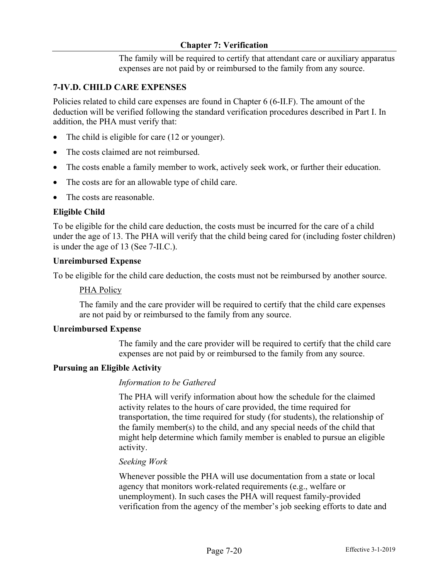The family will be required to certify that attendant care or auxiliary apparatus expenses are not paid by or reimbursed to the family from any source.

## **7-IV.D. CHILD CARE EXPENSES**

Policies related to child care expenses are found in Chapter 6 (6-II.F). The amount of the deduction will be verified following the standard verification procedures described in Part I. In addition, the PHA must verify that:

- The child is eligible for care (12 or younger).
- The costs claimed are not reimbursed.
- The costs enable a family member to work, actively seek work, or further their education.
- The costs are for an allowable type of child care.
- The costs are reasonable.

## **Eligible Child**

To be eligible for the child care deduction, the costs must be incurred for the care of a child under the age of 13. The PHA will verify that the child being cared for (including foster children) is under the age of 13 (See 7-II.C.).

#### **Unreimbursed Expense**

To be eligible for the child care deduction, the costs must not be reimbursed by another source.

### PHA Policy

The family and the care provider will be required to certify that the child care expenses are not paid by or reimbursed to the family from any source.

#### **Unreimbursed Expense**

The family and the care provider will be required to certify that the child care expenses are not paid by or reimbursed to the family from any source.

### **Pursuing an Eligible Activity**

### *Information to be Gathered*

The PHA will verify information about how the schedule for the claimed activity relates to the hours of care provided, the time required for transportation, the time required for study (for students), the relationship of the family member(s) to the child, and any special needs of the child that might help determine which family member is enabled to pursue an eligible activity.

#### *Seeking Work*

Whenever possible the PHA will use documentation from a state or local agency that monitors work-related requirements (e.g., welfare or unemployment). In such cases the PHA will request family-provided verification from the agency of the member's job seeking efforts to date and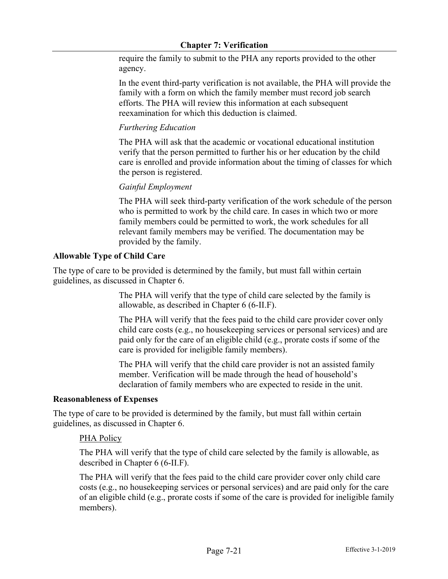require the family to submit to the PHA any reports provided to the other agency.

In the event third-party verification is not available, the PHA will provide the family with a form on which the family member must record job search efforts. The PHA will review this information at each subsequent reexamination for which this deduction is claimed.

# *Furthering Education*

The PHA will ask that the academic or vocational educational institution verify that the person permitted to further his or her education by the child care is enrolled and provide information about the timing of classes for which the person is registered.

# *Gainful Employment*

The PHA will seek third-party verification of the work schedule of the person who is permitted to work by the child care. In cases in which two or more family members could be permitted to work, the work schedules for all relevant family members may be verified. The documentation may be provided by the family.

# **Allowable Type of Child Care**

The type of care to be provided is determined by the family, but must fall within certain guidelines, as discussed in Chapter 6.

> The PHA will verify that the type of child care selected by the family is allowable, as described in Chapter 6 (6-II.F).

The PHA will verify that the fees paid to the child care provider cover only child care costs (e.g., no housekeeping services or personal services) and are paid only for the care of an eligible child (e.g., prorate costs if some of the care is provided for ineligible family members).

The PHA will verify that the child care provider is not an assisted family member. Verification will be made through the head of household's declaration of family members who are expected to reside in the unit.

### **Reasonableness of Expenses**

The type of care to be provided is determined by the family, but must fall within certain guidelines, as discussed in Chapter 6.

# PHA Policy

The PHA will verify that the type of child care selected by the family is allowable, as described in Chapter 6 (6-II.F).

The PHA will verify that the fees paid to the child care provider cover only child care costs (e.g., no housekeeping services or personal services) and are paid only for the care of an eligible child (e.g., prorate costs if some of the care is provided for ineligible family members).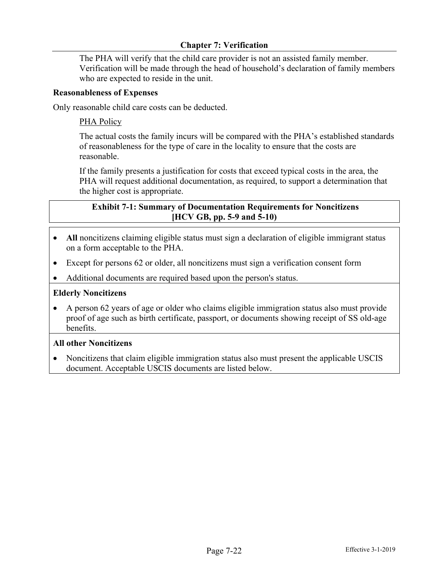The PHA will verify that the child care provider is not an assisted family member. Verification will be made through the head of household's declaration of family members who are expected to reside in the unit.

## **Reasonableness of Expenses**

Only reasonable child care costs can be deducted.

## PHA Policy

The actual costs the family incurs will be compared with the PHA's established standards of reasonableness for the type of care in the locality to ensure that the costs are reasonable.

If the family presents a justification for costs that exceed typical costs in the area, the PHA will request additional documentation, as required, to support a determination that the higher cost is appropriate.

## **Exhibit 7-1: Summary of Documentation Requirements for Noncitizens [HCV GB, pp. 5-9 and 5-10)**

- All noncitizens claiming eligible status must sign a declaration of eligible immigrant status on a form acceptable to the PHA.
- Except for persons 62 or older, all noncitizens must sign a verification consent form
- Additional documents are required based upon the person's status.

## **Elderly Noncitizens**

• A person 62 years of age or older who claims eligible immigration status also must provide proof of age such as birth certificate, passport, or documents showing receipt of SS old-age benefits.

### **All other Noncitizens**

• Noncitizens that claim eligible immigration status also must present the applicable USCIS document. Acceptable USCIS documents are listed below.